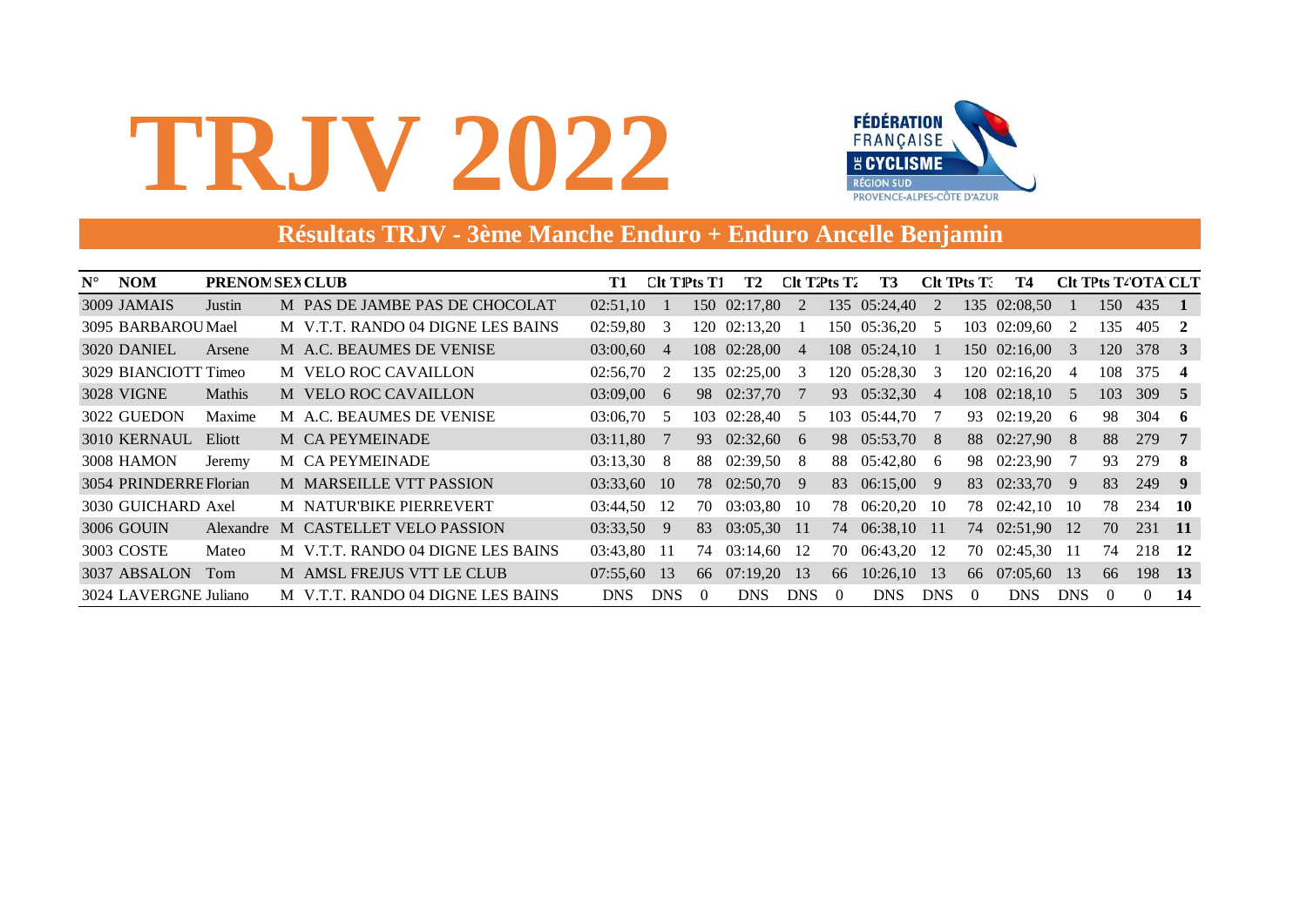

### **Résultats TRJV - 3ème Manche Enduro + Enduro Ancelle Benjamin**

| $N^{\circ}$ | <b>NOM</b>             | <b>PRENOM SEX CLUB</b> |   |                                   | T1       | $C$ It T $P$ ts T $1$ |          | T2           | $C$ It T $2$ <sup>r</sup> ts T $2$ |          | T3           | $Clt$ TPts $T$ . |                  | Т4           |                |          | <b>CIt TPts T4OTA CLT</b> |                         |
|-------------|------------------------|------------------------|---|-----------------------------------|----------|-----------------------|----------|--------------|------------------------------------|----------|--------------|------------------|------------------|--------------|----------------|----------|---------------------------|-------------------------|
|             | 3009 JAMAIS            | Justin                 |   | M PAS DE JAMBE PAS DE CHOCOLAT    | 02:51,10 |                       |          | 150 02:17,80 | 2                                  |          | 135 05:24,40 | 2                |                  | 135 02:08,50 |                | 150      | 435                       | $\blacksquare$          |
|             | 3095 BARBAROU Mael     |                        |   | M V.T.T. RANDO 04 DIGNE LES BAINS | 02:59,80 | 3                     |          | 120 02:13,20 |                                    |          | 150 05:36,20 | -5               |                  | 103 02:09,60 | 2              | 135      | 405                       | $\overline{2}$          |
|             | 3020 DANIEL            | Arsene                 |   | M A.C. BEAUMES DE VENISE          | 03:00,60 | $\overline{4}$        |          | 108 02:28,00 | $\overline{4}$                     |          | 108 05:24,10 |                  |                  | 150 02:16,00 | 3              | 120      | 378                       | $\overline{\mathbf{3}}$ |
|             | 3029 BIANCIOTT Timeo   |                        |   | M VELO ROC CAVAILLON              | 02:56,70 | 2                     | 135.     | 02:25,00     | 3                                  |          | 120 05:28,30 | 3                |                  | 120 02:16,20 | $\overline{4}$ | 108      | 375                       | -4                      |
|             | 3028 VIGNE             | <b>Mathis</b>          |   | M VELO ROC CAVAILLON              | 03:09,00 | 6                     | 98.      | 02:37,70     | 7                                  |          | 93 05:32,30  | 4                |                  | 108 02:18,10 | 5              | 103      | 309                       | - 5                     |
|             | 3022 GUEDON            | Maxime                 |   | M A.C. BEAUMES DE VENISE          | 03:06,70 | 5                     |          | 103 02:28,40 | .5                                 |          | 103 05:44,70 |                  | 93               | 02:19,20     | 6              | 98       | 304                       | - 6                     |
|             | 3010 KERNAUL           | Eliott                 |   | M CA PEYMEINADE                   | 03:11,80 | -7                    | 93       | 02:32,60     | 6                                  |          | 98 05:53,70  | -8               |                  | 88 02:27,90  | - 8            | 88       | 279                       | - 7                     |
|             | 3008 HAMON             | Jeremy                 |   | M CA PEYMEINADE                   | 03:13,30 | 8                     | 88       | 02:39,50     | 8                                  | 88       | 05:42,80     | 6                | 98               | 02:23,90     | 7              | 93       | 279                       | - 8                     |
|             | 3054 PRINDERRE Florian |                        |   | M MARSEILLE VTT PASSION           | 03:33,60 | <sup>10</sup>         |          | 78 02:50,70  | 9                                  |          | 83 06:15,00  | 9                | 83               | 02:33,70     | -9             | 83       | 249                       | $\overline{9}$          |
|             | 3030 GUICHARD Axel     |                        |   | M NATUR'BIKE PIERREVERT           | 03:44,50 | 12                    | 70       | 03:03,80     | -10                                | 78.      | 06:20,20     | 10               | 78               | 02:42,10     | 10             | 78       | 234                       | - 10                    |
|             | 3006 GOUIN             | Alexandre              | M | <b>CASTELLET VELO PASSION</b>     | 03:33,50 | 9                     | 83       | 03:05,30     | -11                                |          | 74 06:38,10  | -11              |                  | 74 02:51,90  | -12            | 70       | 231                       | - 11                    |
|             | 3003 COSTE             | Mateo                  |   | M V.T.T. RANDO 04 DIGNE LES BAINS | 03:43,80 | -11                   | 74       | 03:14,60     | 12                                 | 70       | 06:43,20     | 12               | 70               | 02:45,30     | -11            | 74       | 218                       | <b>12</b>               |
|             | 3037 ABSALON           | Tom                    |   | M AMSL FREJUS VTT LE CLUB         | 07:55,60 | 13                    | 66       | 07:19,20     | 13                                 | 66       | 10:26,10     | 13               |                  | 66 07:05,60  | 13             | 66       | 198                       | <b>13</b>               |
|             | 3024 LAVERGNE Juliano  |                        |   | M V.T.T. RANDO 04 DIGNE LES BAINS | DNS      | <b>DNS</b>            | $\Omega$ | <b>DNS</b>   | <b>DNS</b>                         | $\Omega$ | <b>DNS</b>   | <b>DNS</b>       | $\left( \right)$ | <b>DNS</b>   | <b>DNS</b>     | $\Omega$ | $\Omega$                  | 14                      |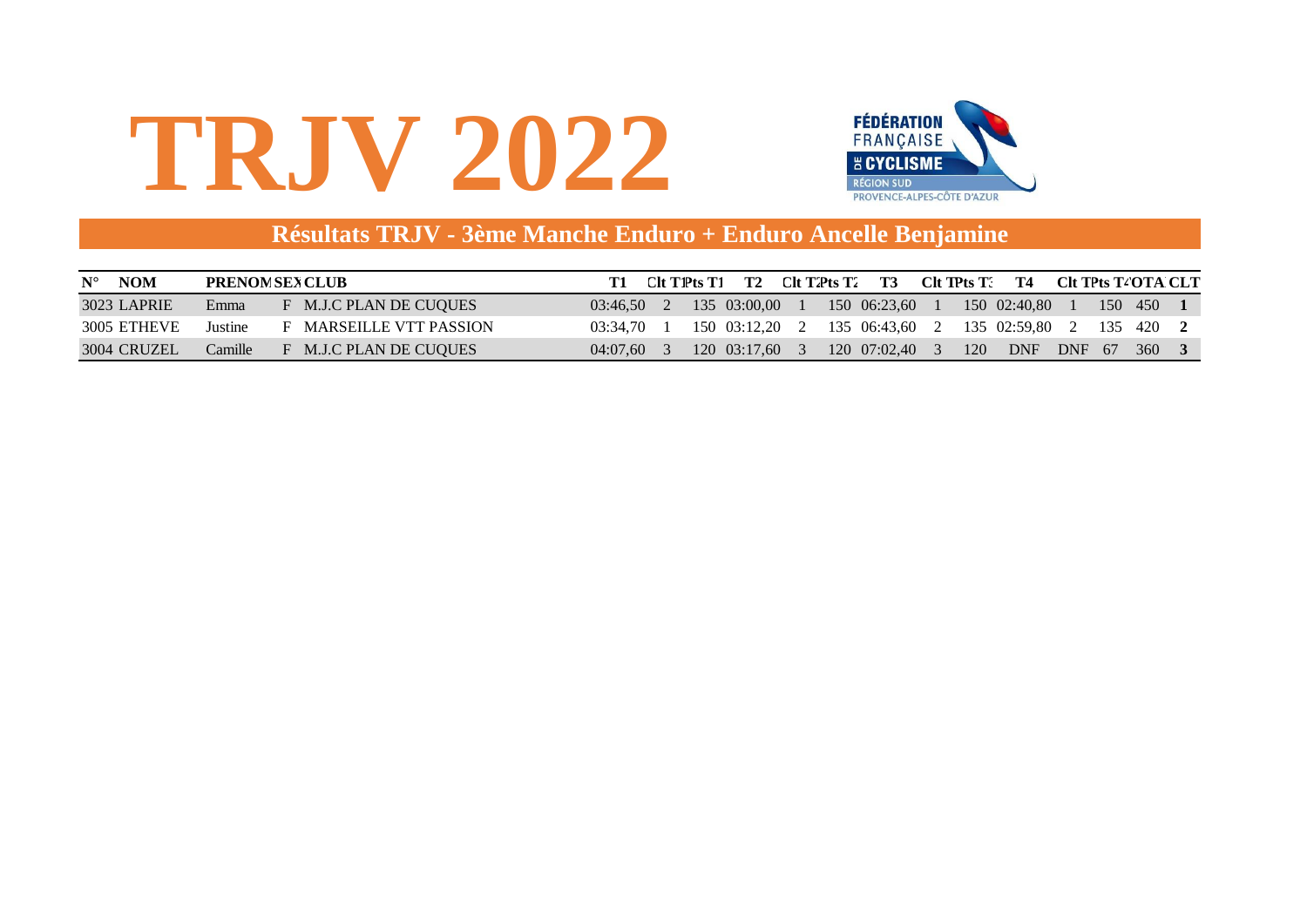

### **Résultats TRJV - 3ème Manche Enduro + Enduro Ancelle Benjamine**

| <b>NOM</b><br>$N^{\circ}$ |         | <b>PRENOM SEX CLUB</b>         |                           | Clt T1Pts T1 | <b>T2</b>    |    | $C$ It T2Pts T2 T3 |   |     | $Clt$ TPts $T^2$ T4                                    |  | CIt TPts T4OTA CLT |  |
|---------------------------|---------|--------------------------------|---------------------------|--------------|--------------|----|--------------------|---|-----|--------------------------------------------------------|--|--------------------|--|
| 3023 LAPRIE               | Emma    | F M.J.C PLAN DE CUOUES         | $03:46.50$ 2 135 03:00.00 |              |              |    | 150 06:23.60       |   |     | 150 02:40.80                                           |  | 150 450            |  |
| 3005 ETHEVE               | Justine | <b>F</b> MARSEILLE VTT PASSION | 03:34.70                  |              |              |    |                    |   |     | 150 03:12,20 2 135 06:43,60 2 135 02:59,80 2 135 420 2 |  |                    |  |
| 3004 CRUZEL               | Camille | F M.J.C PLAN DE CUOUES         | 04:07.60                  |              | 120 03:17.60 | -3 | 120 07:02.40       | 3 | 120 | <b>DNF</b>                                             |  | DNF 67 360         |  |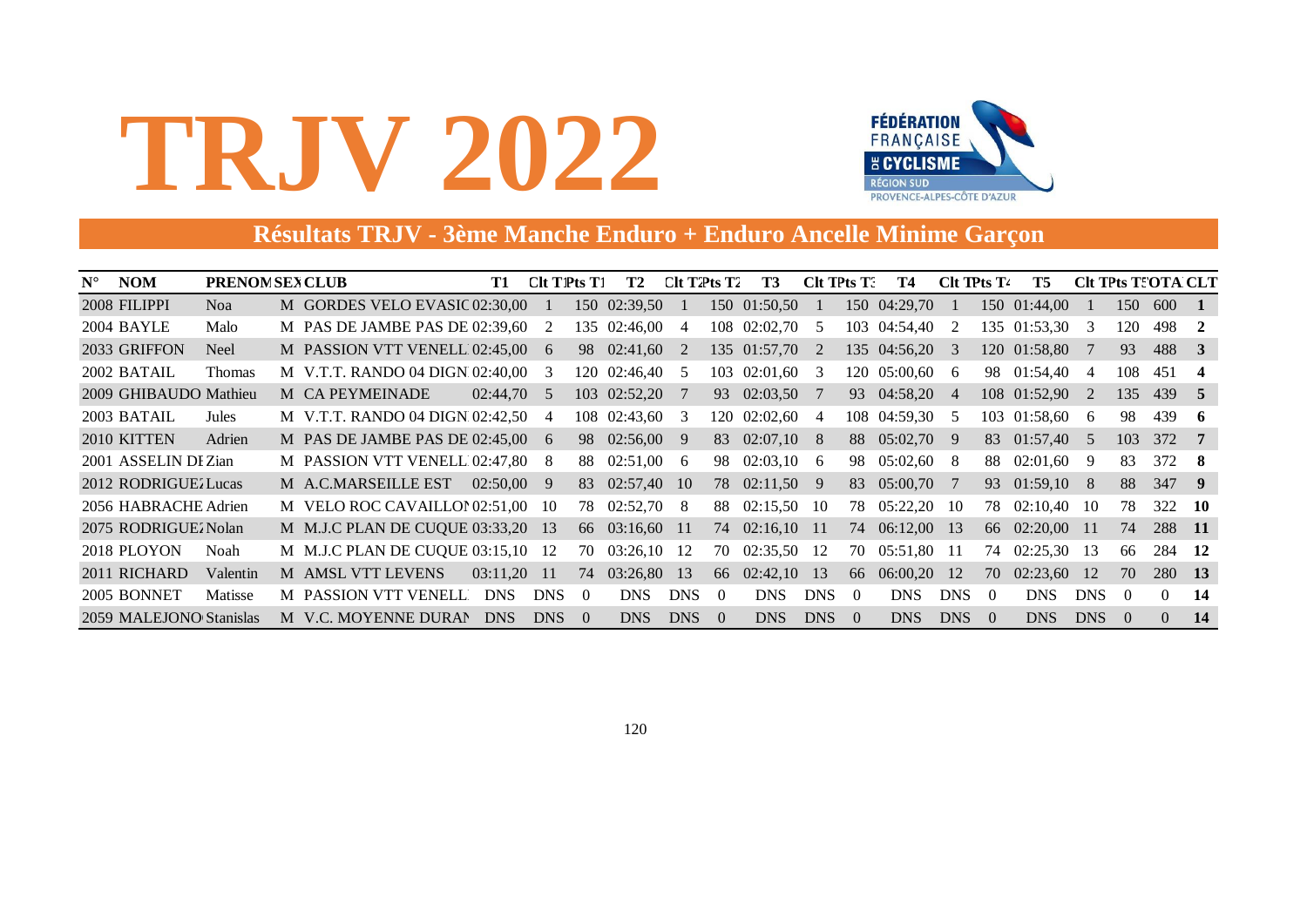

### **Résultats TRJV - 3ème Manche Enduro + Enduro Ancelle Minime Garçon**

| $N^{\circ}$ | <b>NOM</b>              | <b>PRENOM SEX CLUB</b> |                                    |  | T1           | $Clt$ T <sub>1</sub> $Pts$ T <sub>1</sub> |          | T2            | Clt T2Pts T2   |                | T3             | CIt TPts T. |          | Т4           | Clt TPts T <sub>4</sub> |          | T5             | <b>CIt TPts TIOTA CLT</b> |                |          |                         |
|-------------|-------------------------|------------------------|------------------------------------|--|--------------|-------------------------------------------|----------|---------------|----------------|----------------|----------------|-------------|----------|--------------|-------------------------|----------|----------------|---------------------------|----------------|----------|-------------------------|
|             | 2008 FILIPPI            | Noa                    | M GORDES VELO EVASIC 02:30,00      |  |              |                                           |          | 150 02:39,50  |                |                | 150 01:50,50   |             |          | 150 04:29,70 |                         |          | 150 01:44,00   |                           | 150            | 600      | $\blacksquare$ 1        |
|             | 2004 BAYLE              | Malo                   | M PAS DE JAMBE PAS DE $02:39,60$ 2 |  |              |                                           | 135      | 02:46,00      | -4             |                | 108 02:02,70 5 |             |          | 103 04:54,40 | -2                      |          | 135 01:53,30   | - 3                       | 120            | 498      | $\overline{2}$          |
|             | 2033 GRIFFON            | <b>Neel</b>            | M PASSION VTT VENELL 02:45,00      |  |              | 6                                         | 98       | 02:41,60      | $\overline{2}$ |                | 135 01:57,70 2 |             |          | 135 04:56,20 | - 3                     |          | 120 01:58,80   | -7                        | 93             | 488 3    |                         |
|             | 2002 BATAIL             | Thomas                 | M V.T.T. RANDO 04 DIGN 02:40.00    |  |              | 3                                         | 120-     | 02:46,40      | - 5            |                | 103 02:01,60 3 |             |          | 120 05:00,60 | -6                      |          | 98 01:54,40    | 4                         | 108            | 451      | $\overline{\mathbf{4}}$ |
|             | 2009 GHIBAUDO Mathieu   |                        | M CA PEYMEINADE                    |  | $02:44.70=5$ |                                           |          | 103 02:52,20  |                | 93             | $02:03,50$ 7   |             | 93       | 04:58,20     | $\overline{4}$          |          | 108 01:52,90   | <sup>2</sup>              | 135            | 439 5    |                         |
|             | 2003 BATAIL             | Jules                  | M V.T.T. RANDO 04 DIGN 02:42,50 4  |  |              |                                           | 108      | $02:43,60$ 3  |                |                | 120 02:02,60 4 |             |          | 108 04:59,30 | - 5                     |          | 103 01:58,60   | - 6                       | 98             | 439      | - 6                     |
|             | 2010 KITTEN             | Adrien                 | M PAS DE JAMBE PAS DE 02:45,00     |  |              | 6                                         | 98       | $02:56,00$ 9  |                | 83             | $02:07,10$ 8   |             | 88       | 05:02,70     | - 9                     |          | 83 01:57,40    | $\overline{5}$            | 103            | 372      | - 7                     |
|             | 2001 ASSELIN DI Zian    |                        | M PASSION VTT VENELL 02:47,80      |  |              | 8                                         | 88       | $02:51,00$ 6  |                | 98             | $02:03,10$ 6   |             | 98       | 05:02,60     | -8                      | 88       | 02:01,60       | -9                        | 83             | 372 8    |                         |
|             | 2012 RODRIGUEZ Lucas    |                        | M A.C.MARSEILLE EST                |  | $02:50,00$ 9 |                                           | 83       | $02:57,40$ 10 |                |                | 78 02:11,50 9  |             | 83       | 05:00,70     |                         | 93       | $01:59,10$ 8   |                           | 88             | 347      | $\overline{\mathbf{9}}$ |
|             | 2056 HABRACHE Adrien    |                        | M VELO ROC CAVAILLON 02:51,00 10   |  |              |                                           | 78       | 02:52,70      | - 8            | 88             | 02:15,50       | - 10        | 78       | 05:22,20     | -10                     | 78       | 02:10,40       | - 10                      | 78             | 322      | - 10                    |
|             | 2075 RODRIGUEZ Nolan    |                        | M M.J.C PLAN DE CUQUE 03:33,20 13  |  |              |                                           | 66       | 03:16,60 11   |                |                | 74 02:16,10 11 |             |          | 74 06:12,00  | -13                     |          | 66 02:20,00 11 |                           | 74             | 288 11   |                         |
|             | 2018 PLOYON             | Noah                   | M M.J.C PLAN DE CUQUE 03:15,10 12  |  |              |                                           | 70       | 03:26,10      | -12            | 70             | 02:35.50 12    |             | 70       | 05:51,80     | -11                     | 74       | 02:25,30       | -13                       | 66             | 284 12   |                         |
|             | 2011 RICHARD            | Valentin               | M AMSL VTT LEVENS                  |  | 03:11,20 11  |                                           | 74       | 03:26,80      | -13            | 66             | 02:42,10       | -13         | 66       | 06:00,20     | 12                      | 70       | 02:23,60       | -12                       | 70             | 280 13   |                         |
|             | 2005 BONNET             | Matisse                | M PASSION VTT VENELL               |  | DNS          | <b>DNS</b>                                | $\Omega$ | <b>DNS</b>    | <b>DNS</b>     | $\Omega$       | <b>DNS</b>     | DNS         | $\theta$ | <b>DNS</b>   | <b>DNS</b>              | $\Omega$ | <b>DNS</b>     | DNS                       | $\Omega$       | $\Omega$ | 14                      |
|             | 2059 MALEJONO Stanislas |                        | M V.C. MOYENNE DURAN               |  | <b>DNS</b>   | <b>DNS</b>                                | $\Omega$ | <b>DNS</b>    | <b>DNS</b>     | $\overline{0}$ | <b>DNS</b>     | DNS         | $\Omega$ | <b>DNS</b>   | <b>DNS</b>              | $\Omega$ | DNS            | DNS                       | $\overline{0}$ | $\Omega$ | -14                     |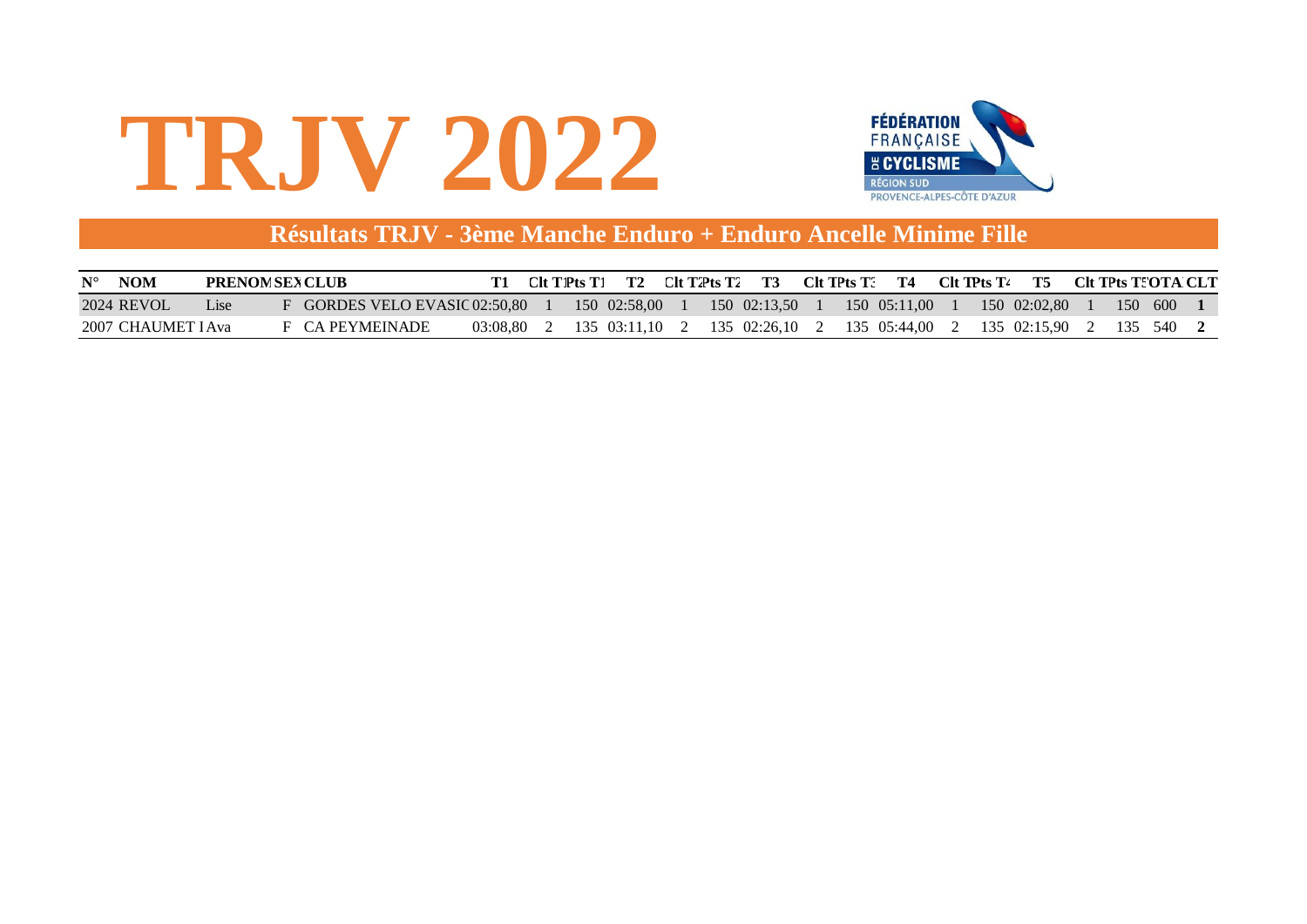



#### **Résultats TRJV - 3ème Manche Enduro + Enduro Ancelle Minime Fille**

| <b>NOM</b><br>$\mathbf{N}^{\circ}$ | <b>PRENOM SEX CLUB</b> |                             |          | CIt T1Pts T1 | T2           |  | $Clt$ T2Pts T2 T3 $Clt$ TPts T3 T4 |  |                                                           | Clt TPts T4 | T5           |  | - CIt TPts T: OTA CLT |  |
|------------------------------------|------------------------|-----------------------------|----------|--------------|--------------|--|------------------------------------|--|-----------------------------------------------------------|-------------|--------------|--|-----------------------|--|
| 2024 REVOL                         | LISE                   | GORDES VELO EVASIC 02:50.80 |          |              | 150 02:58.00 |  | 150 02:13.50                       |  | $150 \quad 05:11.00$                                      |             | 150 02:02.80 |  | 150 600               |  |
| 2007 CHAUMET LAva                  |                        | F CA PEYMEINADE             | 03:08.80 |              |              |  |                                    |  | 135 03:11.10 2 135 02:26.10 2 135 05:44.00 2 135 02:15.90 |             |              |  | 2 135 540             |  |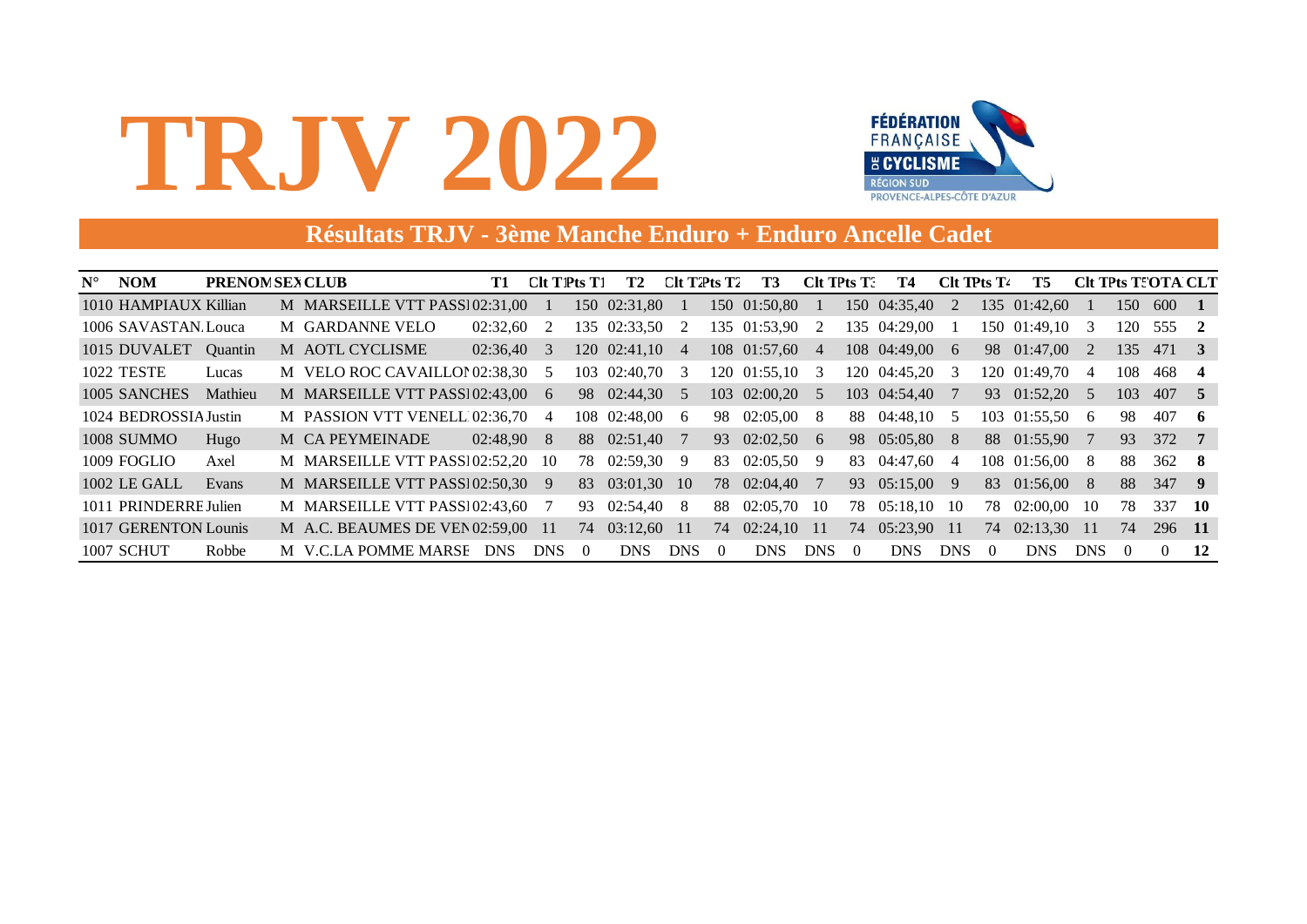

#### **Résultats TRJV - 3ème Manche Enduro + Enduro Ancelle Cadet**

| $N^{\circ}$ | <b>NOM</b>            | <b>PRENOM SEX CLUB</b> |                                   | T <sub>1</sub> | Clt T1Pts T1 |          | T <sub>2</sub> | Clt T2Pts T2 |          | T3             | CIt TPts T. |          | Т4            | Clt TPts T <sub>4</sub> |          | T5            | <b>CIt TPts T: OTA CLT</b> |                  |               |                |
|-------------|-----------------------|------------------------|-----------------------------------|----------------|--------------|----------|----------------|--------------|----------|----------------|-------------|----------|---------------|-------------------------|----------|---------------|----------------------------|------------------|---------------|----------------|
|             | 1010 HAMPIAUX Killian |                        | M MARSEILLE VTT PASS102:31.00     |                |              |          | 150 02:31.80   |              |          | 150 01:50,80   |             |          | 150 04:35,40  | 2                       |          | 135 01:42,60  |                            | 150              | 600           | $\blacksquare$ |
|             | 1006 SAVASTAN Louca   |                        | M GARDANNE VELO                   | 02:32,60       | 2            |          | 135 02:33.50   | - 2          |          | 135 01:53,90   | 2           |          | 135 04:29.00  |                         |          | 150 01:49.10  | $\mathcal{E}$              | 120              | 555           | $\overline{2}$ |
|             | 1015 DUVALET          | <b>Ouantin</b>         | M AOTL CYCLISME                   | $02:36,40$ 3   |              |          | 120 02:41,10 4 |              |          | 108 01:57,60 4 |             |          | 108 04:49,00  | $-6$                    |          | 98 01:47,00   | -2                         | 135              | 471 3         |                |
|             | <b>1022 TESTE</b>     | Lucas                  | M VELO ROC CAVAILLOI 02:38.30 5   |                |              | 103      | 02:40,70       | - 3          |          | 120 01:55.10 3 |             |          | 120 04:45.20  | -3                      |          | 120 01:49.70  | 4                          | 108              | 468           | $\overline{4}$ |
|             | 1005 SANCHES          | Mathieu                | M MARSEILLE VTT PASS102:43,00     |                | 6            | 98       | $02:44.30$ 5   |              |          | 103 02:00,20 5 |             |          | 103 04:54,40  |                         |          | 93 01:52,20 5 |                            | 103              | 407 5         |                |
|             | 1024 BEDROSSIA Justin |                        | M PASSION VTT VENELL 02:36,70 4   |                |              |          | 108 02:48,00 6 |              | 98.      | $02:05,00$ 8   |             |          | 88 04:48,10   | - 5                     |          | 103 01:55,50  | - 6                        | 98               | 407           | - 6            |
|             | <b>1008 SUMMO</b>     | Hugo                   | M CA PEYMEINADE                   | $02:48.90$ 8   |              |          | 88 02:51,40    |              | 93       | $02:02,50$ 6   |             |          | 98 05:05,80 8 |                         |          | 88 01:55,90   |                            | 93               | 372 7         |                |
|             | 1009 FOGLIO           | Axel                   | M MARSEILLE VTT PASS102:52,20 10  |                |              | 78       | 02:59,30       | -9           | 83       | $02:05,50$ 9   |             | 83       | 04:47,60      | 4                       |          | 108 01:56,00  | - 8                        | 88               | $362 \quad 8$ |                |
|             | 1002 LE GALL          | Evans                  | M MARSEILLE VTT PASS102:50,30     |                | 9            | 83       | 03:01.30       | - 10         | 78       | $02:04,40$ 7   |             | 93       | 05:15,00      | -9                      |          | 83 01:56,00   | - 8                        | 88               | 347 9         |                |
|             | 1011 PRINDERRE Julien |                        | M MARSEILLE VTT PASS102:43,60     |                |              | 93       | 02:54,40       | - 8          | 88       | $02:05.70$ 10  |             | 78       | 05:18,10      | -10                     | 78       | 02:00.00      | -10                        | 78               | 337           | - 10           |
|             | 1017 GERENTON Lounis  |                        | M A.C. BEAUMES DE VEN 02:59,00 11 |                |              | 74       | 03:12,60 11    |              | 74       | $02:24,10$ 11  |             | 74       | 05:23,90      | -11                     | 74       | 02:13,30      | -11                        | 74               | 296 11        |                |
|             | 1007 SCHUT            | Robbe                  | M V.C.LA POMME MARSE              | <b>DNS</b>     | <b>DNS</b>   | $\Omega$ | <b>DNS</b>     | <b>DNS</b>   | $\theta$ | <b>DNS</b>     | <b>DNS</b>  | $\theta$ | <b>DNS</b>    | DNS.                    | $\Omega$ | <b>DNS</b>    | DNS                        | $\left( \right)$ | $\Omega$      | 12             |